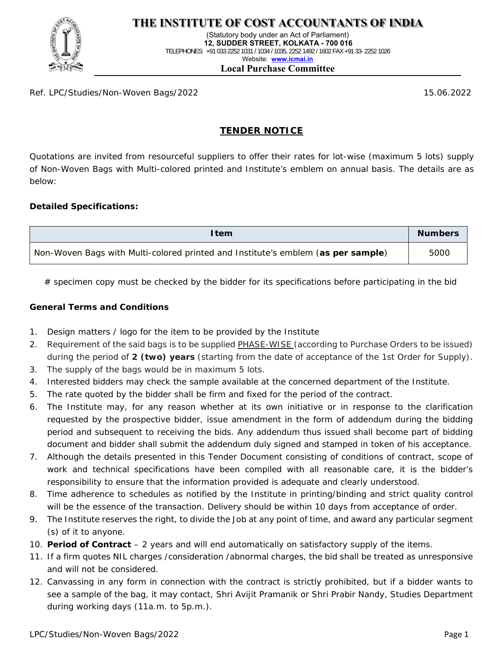

(Statutory body under an Act of Parliament)  **12, SUDDER STREET, KOLKATA - 700 016**  TELEPHONES: +91 033 2252 1031 / 1034 / 1035, 2252 1492 / 1602 FAX +91 33- 2252 1026 Website: **www.icmai.in**

#### **Local Purchase Committee**

Ref. LPC/Studies/Non-Woven Bags/2022 15.06.2022

## **TENDER NOTICE**

Quotations are invited from resourceful suppliers to offer their rates for lot-wise (maximum 5 lots) supply of Non-Woven Bags with Multi-colored printed and Institute's emblem on annual basis. The details are as below:

## **Detailed Specifications:**

| l tem                                                                            | <b>Numbers</b> |
|----------------------------------------------------------------------------------|----------------|
| Non-Woven Bags with Multi-colored printed and Institute's emblem (as per sample) | 5000           |

 $#$  specimen copy must be checked by the bidder for its specifications before participating in the bid

## **General Terms and Conditions**

- 1. Design matters / logo for the item to be provided by the Institute
- 2. Requirement of the said bags is to be supplied PHASE-WISE (according to Purchase Orders to be issued) during the period of **2 (two) years** (starting from the date of acceptance of the 1st Order for Supply).
- 3. The supply of the bags would be in maximum 5 lots.
- 4. Interested bidders may check the sample available at the concerned department of the Institute.
- 5. The rate quoted by the bidder shall be firm and fixed for the period of the contract.
- 6. The Institute may, for any reason whether at its own initiative or in response to the clarification requested by the prospective bidder, issue amendment in the form of addendum during the bidding period and subsequent to receiving the bids. Any addendum thus issued shall become part of bidding document and bidder shall submit the addendum duly signed and stamped in token of his acceptance.
- 7. Although the details presented in this Tender Document consisting of conditions of contract, scope of work and technical specifications have been compiled with all reasonable care, it is the bidder's responsibility to ensure that the information provided is adequate and clearly understood.
- 8. Time adherence to schedules as notified by the Institute in printing/binding and strict quality control will be the essence of the transaction. Delivery should be within 10 days from acceptance of order.
- 9. The Institute reserves the right, to divide the Job at any point of time, and award any particular segment (s) of it to anyone.
- 10. **Period of Contract** 2 years and will end automatically on satisfactory supply of the items.
- 11. If a firm quotes NIL charges /consideration /abnormal charges, the bid shall be treated as unresponsive and will not be considered.
- 12. Canvassing in any form in connection with the contract is strictly prohibited, but if a bidder wants to see a sample of the bag, it may contact, Shri Avijit Pramanik or Shri Prabir Nandy, Studies Department during working days (11a.m. to 5p.m.).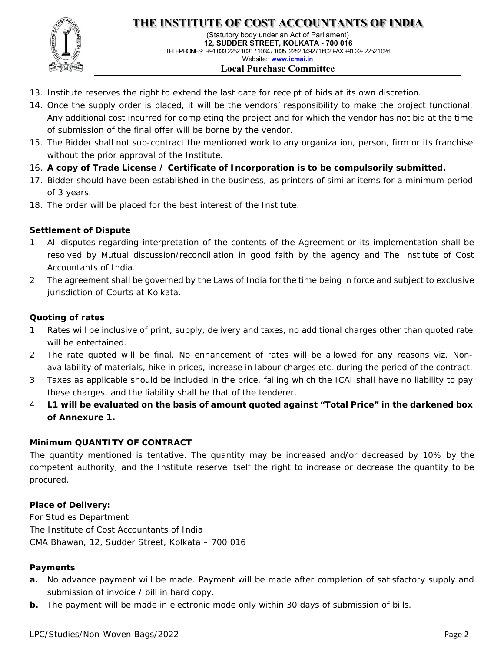

(Statutory body under an Act of Parliament)  **12, SUDDER STREET, KOLKATA - 700 016**  TELEPHONES: +91 033 2252 1031 / 1034 / 1035, 2252 1492 / 1602 FAX +91 33- 2252 1026 Website: **www.icmai.in Local Purchase Committee**

- 13. Institute reserves the right to extend the last date for receipt of bids at its own discretion.
- 14. Once the supply order is placed, it will be the vendors' responsibility to make the project functional. Any additional cost incurred for completing the project and for which the vendor has not bid at the time of submission of the final offer will be borne by the vendor.
- 15. The Bidder shall not sub-contract the mentioned work to any organization, person, firm or its franchise without the prior approval of the Institute.
- 16. **A copy of Trade License / Certificate of Incorporation is to be compulsorily submitted.**
- 17. Bidder should have been established in the business, as printers of similar items for a minimum period of 3 years.
- 18. The order will be placed for the best interest of the Institute.

## **Settlement of Dispute**

- All disputes regarding interpretation of the contents of the Agreement or its implementation shall be resolved by Mutual discussion/reconciliation in good faith by the agency and The Institute of Cost Accountants of India.
- 2. The agreement shall be governed by the Laws of India for the time being in force and subject to exclusive jurisdiction of Courts at Kolkata.

#### **Quoting of rates**

- 1. Rates will be inclusive of print, supply, delivery and taxes, no additional charges other than quoted rate will be entertained.
- 2. The rate quoted will be final. No enhancement of rates will be allowed for any reasons viz. Nonavailability of materials, hike in prices, increase in labour charges etc. during the period of the contract.
- 3. Taxes as applicable should be included in the price, failing which the ICAI shall have no liability to pay these charges, and the liability shall be that of the tenderer.
- 4. **L1 will be evaluated on the basis of amount quoted against "Total Price" in the darkened box of Annexure 1.**

#### **Minimum QUANTITY OF CONTRACT**

The quantity mentioned is tentative. The quantity may be increased and/or decreased by 10% by the competent authority, and the Institute reserve itself the right to increase or decrease the quantity to be procured.

#### **Place of Delivery:**

For Studies Department The Institute of Cost Accountants of India CMA Bhawan, 12, Sudder Street, Kolkata – 700 016

#### **Payments**

- **a.** No advance payment will be made. Payment will be made after completion of satisfactory supply and submission of invoice / bill in hard copy.
- **b.** The payment will be made in electronic mode only within 30 days of submission of bills.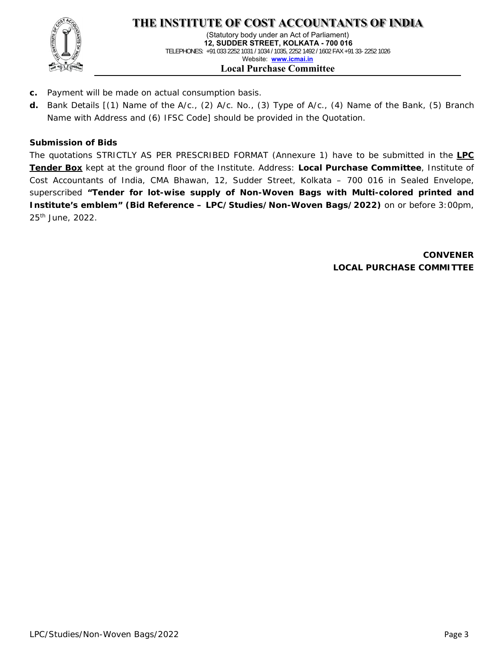

(Statutory body under an Act of Parliament)  **12, SUDDER STREET, KOLKATA - 700 016**  TELEPHONES: +91 033 2252 1031 / 1034 / 1035, 2252 1492 / 1602 FAX +91 33- 2252 1026 Website: **www.icmai.in Local Purchase Committee**

- **c.** Payment will be made on actual consumption basis.
- **d.** Bank Details [(1) Name of the A/c., (2) A/c. No., (3) Type of A/c., (4) Name of the Bank, (5) Branch Name with Address and (6) IFSC Code] should be provided in the Quotation.

## **Submission of Bids**

The quotations STRICTLY AS PER PRESCRIBED FORMAT (Annexure 1) have to be submitted in the **LPC Tender Box** kept at the ground floor of the Institute. Address: **Local Purchase Committee**, Institute of Cost Accountants of India, CMA Bhawan, 12, Sudder Street, Kolkata – 700 016 in Sealed Envelope, superscribed **"Tender for lot-wise supply of Non-Woven Bags with Multi-colored printed and Institute's emblem" (Bid Reference – LPC/Studies/Non-Woven Bags/2022)** on or before 3:00pm, 25th June, 2022.

> **CONVENER LOCAL PURCHASE COMMITTEE**